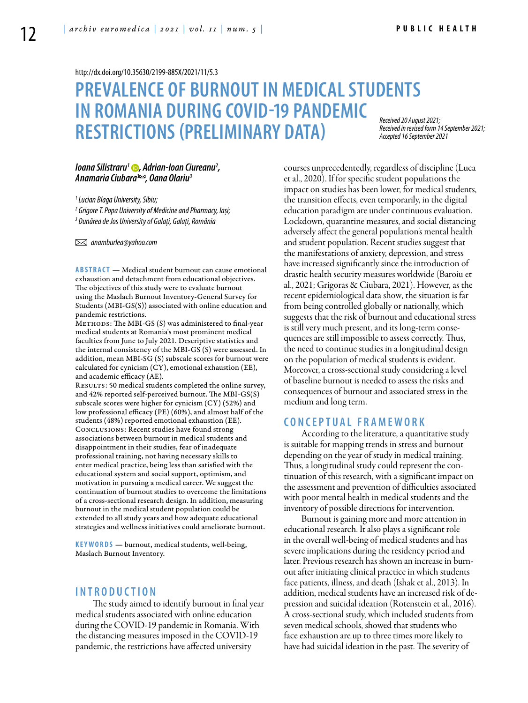<http://dx.doi.org/10.35630/2199-885X/2021/11/5.3>

# **PREVALENCE OF BURNOUT IN MEDICAL STUDENTS IN ROMANIA DURING COVID-19 PANDEMIC RESTRICTIONS (PRELIMINARY DATA)**

*Received 20 August 2021; Received in revised form 14 September 2021; Accepted 16 September 2021*

#### *[Ioana Silistraru](https://orcid.org/0000-0002-0086-578X)1 , Adrian-Ioan Ciureanu2 , Anamaria Ciubara3 , Oana Olariu3*

*1 Lucian Blaga University, Sibiu;* 

*2 Grigore T. Popa University of Medicine and Pharmacy, Iași;*

*3 Dunărea de Jos University of Galați, Galați, România* 

 *anamburlea@yahoo.com* 

**ABSTRACT** — Medical student burnout can cause emotional exhaustion and detachment from educational objectives. The objectives of this study were to evaluate burnout using the Maslach Burnout Inventory-General Survey for Students (MBI-GS(S)) associated with online education and pandemic restrictions.

METHODS: The MBI-GS (S) was administered to final-year medical students at Romania's most prominent medical faculties from June to July 2021. Descriptive statistics and the internal consistency of the MBI-GS (S) were assessed. In addition, mean MBI-SG (S) subscale scores for burnout were calculated for cynicism (CY), emotional exhaustion (EE), and academic efficacy (AE).

RESULTS: 50 medical students completed the online survey, and 42% reported self-perceived burnout. The MBI-GS(S) subscale scores were higher for cynicism (CY) (52%) and low professional efficacy (PE) (60%), and almost half of the students (48%) reported emotional exhaustion (EE). Conclusions: Recent studies have found strong associations between burnout in medical students and disappointment in their studies, fear of inadequate professional training, not having necessary skills to enter medical practice, being less than satisfied with the educational system and social support, optimism, and motivation in pursuing a medical career. We suggest the continuation of burnout studies to overcome the limitations of a cross-sectional research design. In addition, measuring burnout in the medical student population could be extended to all study years and how adequate educational strategies and wellness initiatives could ameliorate burnout.

KEYWORDS — burnout, medical students, well-being, Maslach Burnout Inventory.

### **I n t r o d uct i o n**

The study aimed to identify burnout in final year medical students associated with online education during the COVID-19 pandemic in Romania. With the distancing measures imposed in the COVID-19 pandemic, the restrictions have affected university

courses unprecedentedly, regardless of discipline (Luca et al., 2020). If for specific student populations the impact on studies has been lower, for medical students, the transition effects, even temporarily, in the digital education paradigm are under continuous evaluation. Lockdown, quarantine measures, and social distancing adversely affect the general population's mental health and student population. Recent studies suggest that the manifestations of anxiety, depression, and stress have increased significantly since the introduction of drastic health security measures worldwide (Baroiu et al., 2021; Grigoras & Ciubara, 2021). However, as the recent epidemiological data show, the situation is far from being controlled globally or nationally, which suggests that the risk of burnout and educational stress is still very much present, and its long-term consequences are still impossible to assess correctly. Thus, the need to continue studies in a longitudinal design on the population of medical students is evident. Moreover, a cross-sectional study considering a level of baseline burnout is needed to assess the risks and consequences of burnout and associated stress in the medium and long term.

#### **C ON CE P T U AL F RAMEWOR K**

According to the literature, a quantitative study is suitable for mapping trends in stress and burnout depending on the year of study in medical training. Thus, a longitudinal study could represent the continuation of this research, with a significant impact on the assessment and prevention of difficulties associated with poor mental health in medical students and the inventory of possible directions for intervention.

Burnout is gaining more and more attention in educational research. It also plays a significant role in the overall well-being of medical students and has severe implications during the residency period and later. Previous research has shown an increase in burnout after initiating clinical practice in which students face patients, illness, and death (Ishak et al., 2013). In addition, medical students have an increased risk of depression and suicidal ideation (Rotenstein et al., 2016). A cross-sectional study, which included students from seven medical schools, showed that students who face exhaustion are up to three times more likely to have had suicidal ideation in the past. The severity of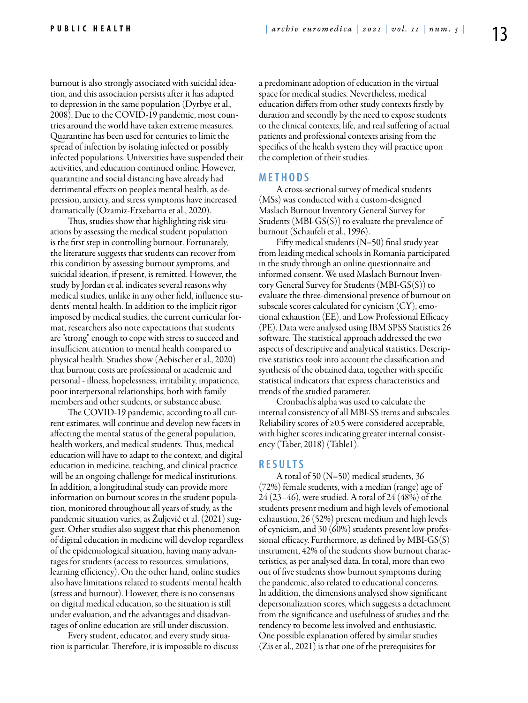burnout is also strongly associated with suicidal ideation, and this association persists after it has adapted to depression in the same population (Dyrbye et al., 2008). Due to the COVID-19 pandemic, most countries around the world have taken extreme measures. Quarantine has been used for centuries to limit the spread of infection by isolating infected or possibly infected populations. Universities have suspended their activities, and education continued online. However, quarantine and social distancing have already had detrimental effects on people's mental health, as depression, anxiety, and stress symptoms have increased dramatically (Ozamiz-Etxebarria et al., 2020).

Thus, studies show that highlighting risk situations by assessing the medical student population is the first step in controlling burnout. Fortunately, the literature suggests that students can recover from this condition by assessing burnout symptoms, and suicidal ideation, if present, is remitted. However, the study by Jordan et al. indicates several reasons why medical studies, unlike in any other field, influence students' mental health. In addition to the implicit rigor imposed by medical studies, the current curricular format, researchers also note expectations that students are "strong" enough to cope with stress to succeed and insufficient attention to mental health compared to physical health. Studies show (Aebischer et al., 2020) that burnout costs are professional or academic and personal - illness, hopelessness, irritability, impatience, poor interpersonal relationships, both with family members and other students, or substance abuse.

The COVID-19 pandemic, according to all current estimates, will continue and develop new facets in affecting the mental status of the general population, health workers, and medical students. Thus, medical education will have to adapt to the context, and digital education in medicine, teaching, and clinical practice will be an ongoing challenge for medical institutions. In addition, a longitudinal study can provide more information on burnout scores in the student population, monitored throughout all years of study, as the pandemic situation varies, as Žuljević et al. (2021) suggest. Other studies also suggest that this phenomenon of digital education in medicine will develop regardless of the epidemiological situation, having many advantages for students (access to resources, simulations, learning efficiency). On the other hand, online studies also have limitations related to students' mental health (stress and burnout). However, there is no consensus on digital medical education, so the situation is still under evaluation, and the advantages and disadvantages of online education are still under discussion.

Every student, educator, and every study situation is particular. Therefore, it is impossible to discuss a predominant adoption of education in the virtual space for medical studies. Nevertheless, medical education differs from other study contexts firstly by duration and secondly by the need to expose students to the clinical contexts, life, and real suffering of actual patients and professional contexts arising from the specifics of the health system they will practice upon the completion of their studies.

### **MET H ODS**

A cross-sectional survey of medical students (MSs) was conducted with a custom-designed Maslach Burnout Inventory General Survey for Students (MBI-GS(S)) to evaluate the prevalence of burnout (Schaufeli et al., 1996).

Fifty medical students (N=50) final study year from leading medical schools in Romania participated in the study through an online questionnaire and informed consent. We used Maslach Burnout Inventory General Survey for Students (MBI-GS(S)) to evaluate the three-dimensional presence of burnout on subscale scores calculated for cynicism (CY), emotional exhaustion (EE), and Low Professional Efficacy (PE). Data were analysed using IBM SPSS Statistics 26 software. The statistical approach addressed the two aspects of descriptive and analytical statistics. Descriptive statistics took into account the classification and synthesis of the obtained data, together with specific statistical indicators that express characteristics and trends of the studied parameter.

Cronbach's alpha was used to calculate the internal consistency of all MBI-SS items and subscales. Reliability scores of ≥0.5 were considered acceptable, with higher scores indicating greater internal consistency (Taber, 2018) (Table1).

# **RES U LTS**

A total of 50 (N=50) medical students, 36 (72%) female students, with a median (range) age of 24 (23–46), were studied. A total of 24 (48%) of the students present medium and high levels of emotional exhaustion, 26 (52%) present medium and high levels of cynicism, and 30 (60%) students present low professional efficacy. Furthermore, as defined by MBI-GS(S) instrument, 42% of the students show burnout characteristics, as per analysed data. In total, more than two out of five students show burnout symptoms during the pandemic, also related to educational concerns. In addition, the dimensions analysed show significant depersonalization scores, which suggests a detachment from the significance and usefulness of studies and the tendency to become less involved and enthusiastic. One possible explanation offered by similar studies (Zis et al., 2021) is that one of the prerequisites for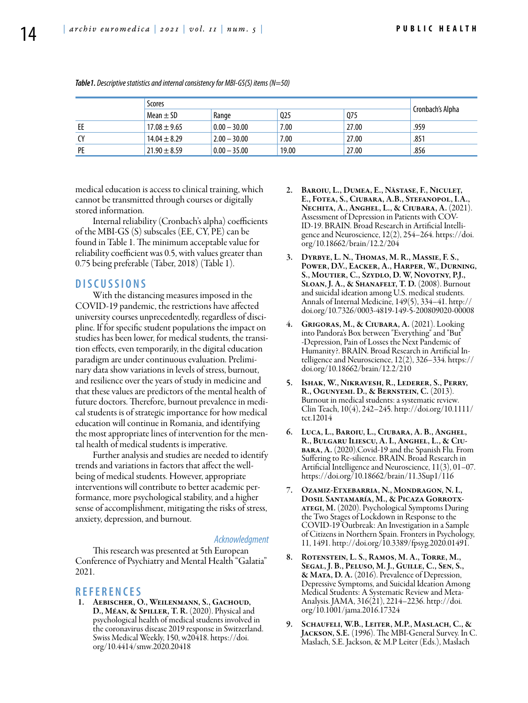|     | Scores           |                |                 |       |                  |
|-----|------------------|----------------|-----------------|-------|------------------|
|     | Mean $\pm$ SD    | Range          | Q <sub>25</sub> | Q75   | Cronbach's Alpha |
| EE  | $17.08 \pm 9.65$ | $0.00 - 30.00$ | 7.00            | 27.00 | .959             |
| CY. | $14.04 \pm 8.29$ | $2.00 - 30.00$ | 7.00            | 27.00 | .851             |
| PE  | $21.90 \pm 8.59$ | $0.00 - 35.00$ | 19.00           | 27.00 | .856             |

*Table1. Descriptive statistics and internal consistency for MBI-GS(S) items (N=50)*

medical education is access to clinical training, which cannot be transmitted through courses or digitally stored information.

Internal reliability (Cronbach's alpha) coefficients of the MBI-GS (S) subscales (EE, CY, PE) can be found in Table 1. The minimum acceptable value for reliability coefficient was 0.5, with values greater than 0.75 being preferable (Taber, 2018) (Table 1).

## **DISC U SSIONS**

With the distancing measures imposed in the COVID-19 pandemic, the restrictions have affected university courses unprecedentedly, regardless of discipline. If for specific student populations the impact on studies has been lower, for medical students, the transition effects, even temporarily, in the digital education paradigm are under continuous evaluation. Preliminary data show variations in levels of stress, burnout, and resilience over the years of study in medicine and that these values are predictors of the mental health of future doctors. Therefore, burnout prevalence in medical students is of strategic importance for how medical education will continue in Romania, and identifying the most appropriate lines of intervention for the mental health of medical students is imperative.

Further analysis and studies are needed to identify trends and variations in factors that affect the wellbeing of medical students. However, appropriate interventions will contribute to better academic performance, more psychological stability, and a higher sense of accomplishment, mitigating the risks of stress, anxiety, depression, and burnout.

#### *Acknowledgment*

This research was presented at 5th European Conference of Psychiatry and Mental Health "Galatia" 2021.

#### **REFEREN CES**

1. Aebischer, O., Weilenmann, S., Gachoud, D., Méan, & Spiller, T. R. (2020). Physical and psychological health of medical students involved in the coronavirus disease 2019 response in Switzerland. Swiss Medical Weekly, 150, w20418. https://doi. org/10.4414/smw.2020.20418

- 2. Baroiu, L., Dumea, E., Năstase, F., Niculeț, E., Fotea, S., Ciubara, A.B., Stefanopol, I.A., Nechita, A., Anghel, L., & Ciubara, A. (2021). Assessment of Depression in Patients with COV-ID-19. BRAIN. Broad Research in Artificial Intelligence and Neuroscience, 12(2), 254–264. https://doi. org/10.18662/brain/12.2/204
- 3. Dyrbye, L. N., Thomas, M. R., Massie, F. S., Power, D.V., Eacker, A., Harper, W., Durning, S., Moutier, C., Szydlo, D. W, Novotny, P.J., Sloan, J. A., & Shanafelt, T. D. (2008). Burnout and suicidal ideation among U.S. medical students. Annals of Internal Medicine, 149(5), 334–41. http:// doi.org/10.7326/0003-4819-149-5-200809020-00008
- 4. Grigoras, M., & Ciubara, A. (2021). Looking into Pandora's Box between "Everything" and "But" -Depression, Pain of Losses the Next Pandemic of Humanity?. BRAIN. Broad Research in Artificial Intelligence and Neuroscience, 12(2), 326–334. https:// doi.org/10.18662/brain/12.2/210
- 5. Ishak, W., Nikravesh, R., Lederer, S., Perry, R., Ogunyemi. D., & Bernstein, C. (2013). Burnout in medical students: a systematic review. Clin Teach, 10(4), 242–245. http://doi.org/10.1111/ tct.12014
- 6. Luca, L., Baroiu, L., Ciubara, A. B., Anghel, R., Bulgaru Iliescu, A. I., Anghel, L., & Ciubara, A. (2020).Covid-19 and the Spanish Flu. From Suffering to Re-silience. BRAIN. Broad Research in Artificial Intelligence and Neuroscience, 11(3), 01–07. https://doi.org/10.18662/brain/11.3Sup1/116
- 7. Ozamiz-Etxebarria, N., Mondragon, N. I., Dosil Santamaría, M., & Picaza Gorrotx-ATEGI, M. (2020). Psychological Symptoms During the Two Stages of Lockdown in Response to the COVID-19 Outbreak: An Investigation in a Sample of Citizens in Northern Spain. Fronters in Psychology, 11, 1491. http://doi.org/10.3389/fpsyg.2020.01491.
- ROTENSTEIN, L. S., RAMOS, M. A., TORRE, M., Segal, J. B., Peluso, M. J., Guille, C., Sen, S., & Mata, D. A. (2016). Prevalence of Depression, Depressive Symptoms, and Suicidal Ideation Among Medical Students: A Systematic Review and Meta-Analysis. JAMA, 316(21), 2214–2236. http://doi. org/10.1001/jama.2016.17324
- 9. SCHAUFELI, W.B., LEITER, M.P., MASLACH, C., & Jackson, S.E. (1996). The MBI-General Survey. In C. Maslach, S.E. Jackson, & M.P Leiter (Eds.), Maslach